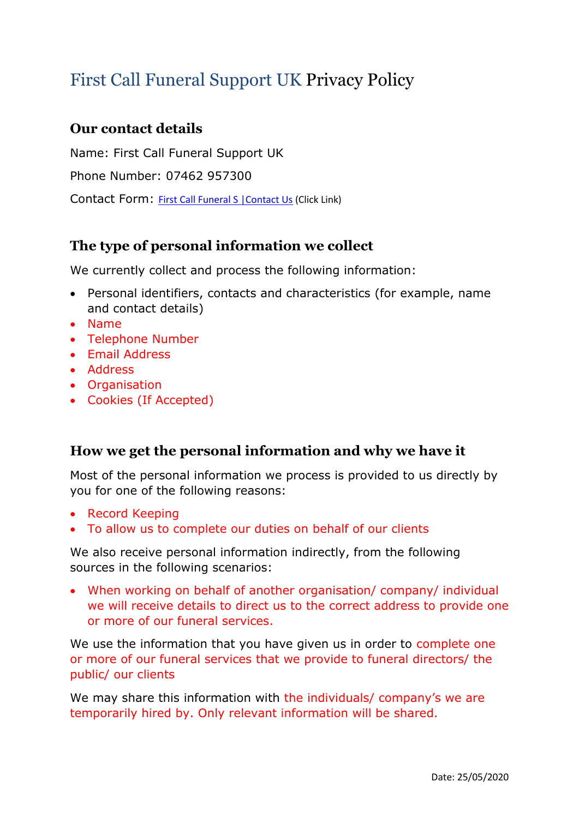# First Call Funeral Support UK Privacy Policy

## **Our contact details**

Name: First Call Funeral Support UK

Phone Number: 07462 957300

Contact Form: First Call Funeral S |Contact Us (Click Link)

## **The type of personal information we collect**

We currently collect and process the following information:

- Personal identifiers, contacts and characteristics (for example, name and contact details)
- Name
- Telephone Number
- Email Address
- Address
- Organisation
- Cookies (If Accepted)

## **How we get the personal information and why we have it**

Most of the personal information we process is provided to us directly by you for one of the following reasons:

- Record Keeping
- To allow us to complete our duties on behalf of our clients

We also receive personal information indirectly, from the following sources in the following scenarios:

• When working on behalf of another organisation/ company/ individual we will receive details to direct us to the correct address to provide one or more of our funeral services.

We use the information that you have given us in order to complete one or more of our funeral services that we provide to funeral directors/ the public/ our clients

We may share this information with the individuals/ company's we are temporarily hired by. Only relevant information will be shared.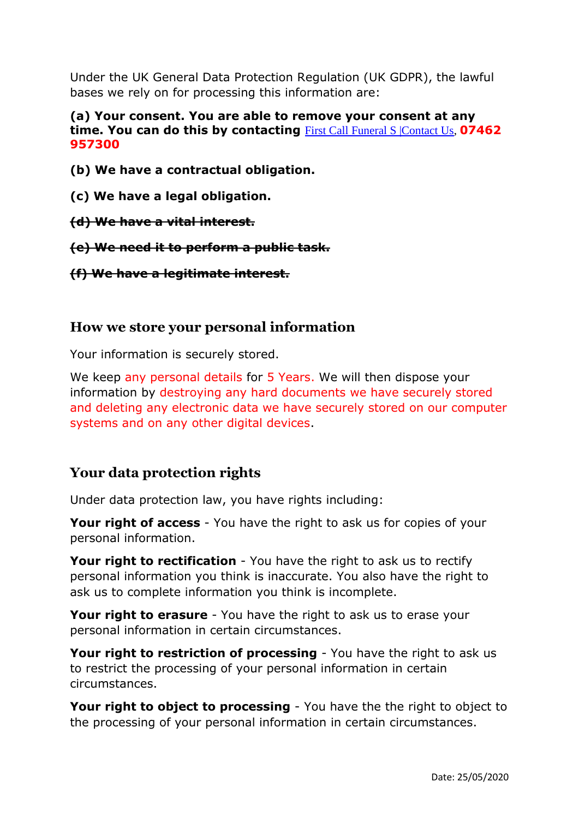Under the UK General Data Protection Regulation (UK GDPR), the lawful bases we rely on for processing this information are:

#### **(a) Your consent. You are able to remove your consent at any time. You can do this by contacting** [First Call Funeral S |Contact Us,](https://www.firstcallfuneralsupportuk.com/contact-3) **07462 957300**

- **(b) We have a contractual obligation.**
- **(c) We have a legal obligation.**
- **(d) We have a vital interest.**
- **(e) We need it to perform a public task.**
- **(f) We have a legitimate interest.**

### **How we store your personal information**

Your information is securely stored.

We keep any personal details for 5 Years. We will then dispose your information by destroying any hard documents we have securely stored and deleting any electronic data we have securely stored on our computer systems and on any other digital devices.

## **Your data protection rights**

Under data protection law, you have rights including:

**Your right of access** - You have the right to ask us for copies of your personal information.

**Your right to rectification** - You have the right to ask us to rectify personal information you think is inaccurate. You also have the right to ask us to complete information you think is incomplete.

**Your right to erasure** - You have the right to ask us to erase your personal information in certain circumstances.

**Your right to restriction of processing** - You have the right to ask us to restrict the processing of your personal information in certain circumstances.

**Your right to object to processing** - You have the the right to object to the processing of your personal information in certain circumstances.